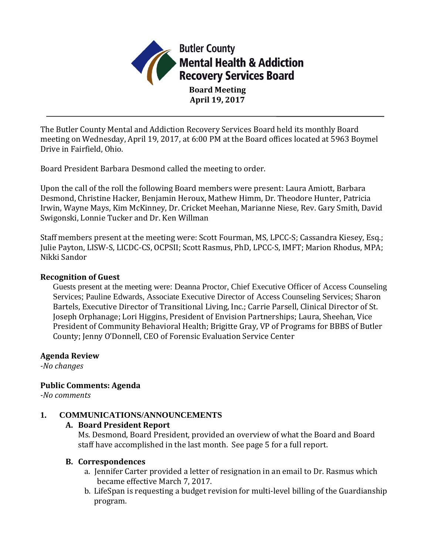

**Board Meeting April 19, 2017**

The Butler County Mental and Addiction Recovery Services Board held its monthly Board meeting on Wednesday, April 19, 2017, at 6:00 PM at the Board offices located at 5963 Boymel Drive in Fairfield, Ohio.

Board President Barbara Desmond called the meeting to order.

Upon the call of the roll the following Board members were present: Laura Amiott, Barbara Desmond, Christine Hacker, Benjamin Heroux, Mathew Himm, Dr. Theodore Hunter, Patricia Irwin, Wayne Mays, Kim McKinney, Dr. Cricket Meehan, Marianne Niese, Rev. Gary Smith, David Swigonski, Lonnie Tucker and Dr. Ken Willman

Staff members present at the meeting were: Scott Fourman, MS, LPCC-S; Cassandra Kiesey, Esq.; Julie Payton, LISW-S, LICDC-CS, OCPSII; Scott Rasmus, PhD, LPCC-S, IMFT; Marion Rhodus, MPA; Nikki Sandor

#### **Recognition of Guest**

Guests present at the meeting were: Deanna Proctor, Chief Executive Officer of Access Counseling Services; Pauline Edwards, Associate Executive Director of Access Counseling Services; Sharon Bartels, Executive Director of Transitional Living, Inc.; Carrie Parsell, Clinical Director of St. Joseph Orphanage; Lori Higgins, President of Envision Partnerships; Laura, Sheehan, Vice President of Community Behavioral Health; Brigitte Gray, VP of Programs for BBBS of Butler County; Jenny O'Donnell, CEO of Forensic Evaluation Service Center

#### **Agenda Review**

*-No changes*

### **Public Comments: Agenda**

*-No comments*

### **1. COMMUNICATIONS/ANNOUNCEMENTS**

### **A. Board President Report**

Ms. Desmond, Board President, provided an overview of what the Board and Board staff have accomplished in the last month. See page 5 for a full report.

#### **B. Correspondences**

- a. Jennifer Carter provided a letter of resignation in an email to Dr. Rasmus which became effective March 7, 2017.
- b. LifeSpan is requesting a budget revision for multi-level billing of the Guardianship program.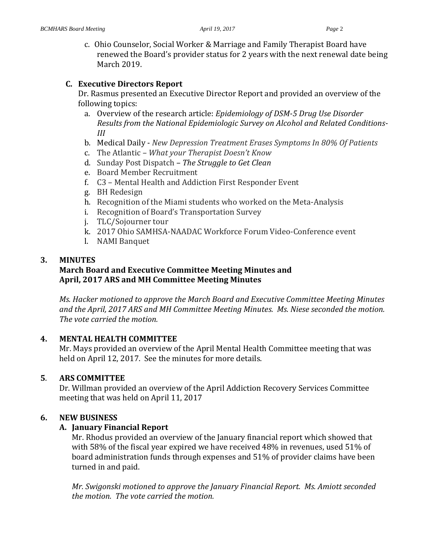c. Ohio Counselor, Social Worker & Marriage and Family Therapist Board have renewed the Board's provider status for 2 years with the next renewal date being March 2019.

#### **C. Executive Directors Report**

Dr. Rasmus presented an Executive Director Report and provided an overview of the following topics:

- a. Overview of the research article: *Epidemiology of DSM-5 Drug Use Disorder Results from the National Epidemiologic Survey on Alcohol and Related Conditions-III*
- b. Medical Daily *New Depression Treatment Erases Symptoms In 80% Of Patients*
- c. The Atlantic *– What your Therapist Doesn't Know*
- d. Sunday Post Dispatch *– The Struggle to Get Clean*
- e. Board Member Recruitment
- f. C3 Mental Health and Addiction First Responder Event
- g. BH Redesign
- h. Recognition of the Miami students who worked on the Meta-Analysis
- i. Recognition of Board's Transportation Survey
- j. TLC/Sojourner tour
- k. 2017 Ohio SAMHSA-NAADAC Workforce Forum Video-Conference event
- l. NAMI Banquet

### **3. MINUTES**

### **March Board and Executive Committee Meeting Minutes and April, 2017 ARS and MH Committee Meeting Minutes**

*Ms. Hacker motioned to approve the March Board and Executive Committee Meeting Minutes and the April, 2017 ARS and MH Committee Meeting Minutes. Ms. Niese seconded the motion. The vote carried the motion.*

### **4. MENTAL HEALTH COMMITTEE**

Mr. Mays provided an overview of the April Mental Health Committee meeting that was held on April 12, 2017. See the minutes for more details.

### **5**. **ARS COMMITTEE**

Dr. Willman provided an overview of the April Addiction Recovery Services Committee meeting that was held on April 11, 2017

### **6. NEW BUSINESS**

### **A. January Financial Report**

Mr. Rhodus provided an overview of the January financial report which showed that with 58% of the fiscal year expired we have received 48% in revenues, used 51% of board administration funds through expenses and 51% of provider claims have been turned in and paid.

*Mr. Swigonski motioned to approve the January Financial Report. Ms. Amiott seconded the motion. The vote carried the motion.*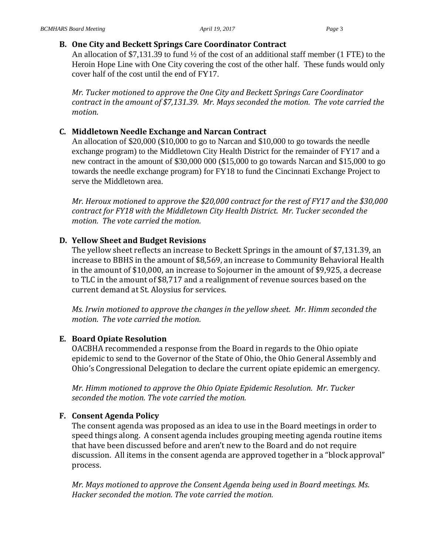### **B. One City and Beckett Springs Care Coordinator Contract**

An allocation of \$7,131.39 to fund ½ of the cost of an additional staff member (1 FTE) to the Heroin Hope Line with One City covering the cost of the other half. These funds would only cover half of the cost until the end of FY17.

*Mr. Tucker motioned to approve the One City and Beckett Springs Care Coordinator contract in the amount of \$7,131.39. Mr. Mays seconded the motion. The vote carried the motion.*

### **C. Middletown Needle Exchange and Narcan Contract**

An allocation of \$20,000 (\$10,000 to go to Narcan and \$10,000 to go towards the needle exchange program) to the Middletown City Health District for the remainder of FY17 and a new contract in the amount of \$30,000 000 (\$15,000 to go towards Narcan and \$15,000 to go towards the needle exchange program) for FY18 to fund the Cincinnati Exchange Project to serve the Middletown area.

*Mr. Heroux motioned to approve the \$20,000 contract for the rest of FY17 and the \$30,000 contract for FY18 with the Middletown City Health District. Mr. Tucker seconded the motion. The vote carried the motion.*

### **D. Yellow Sheet and Budget Revisions**

The yellow sheet reflects an increase to Beckett Springs in the amount of \$7,131.39, an increase to BBHS in the amount of \$8,569, an increase to Community Behavioral Health in the amount of \$10,000, an increase to Sojourner in the amount of \$9,925, a decrease to TLC in the amount of \$8,717 and a realignment of revenue sources based on the current demand at St. Aloysius for services.

*Ms. Irwin motioned to approve the changes in the yellow sheet. Mr. Himm seconded the motion. The vote carried the motion.*

# **E. Board Opiate Resolution**

OACBHA recommended a response from the Board in regards to the Ohio opiate epidemic to send to the Governor of the State of Ohio, the Ohio General Assembly and Ohio's Congressional Delegation to declare the current opiate epidemic an emergency.

*Mr. Himm motioned to approve the Ohio Opiate Epidemic Resolution. Mr. Tucker seconded the motion. The vote carried the motion.*

# **F. Consent Agenda Policy**

The consent agenda was proposed as an idea to use in the Board meetings in order to speed things along. A consent agenda includes grouping meeting agenda routine items that have been discussed before and aren't new to the Board and do not require discussion. All items in the consent agenda are approved together in a "block approval" process.

*Mr. Mays motioned to approve the Consent Agenda being used in Board meetings. Ms. Hacker seconded the motion. The vote carried the motion.*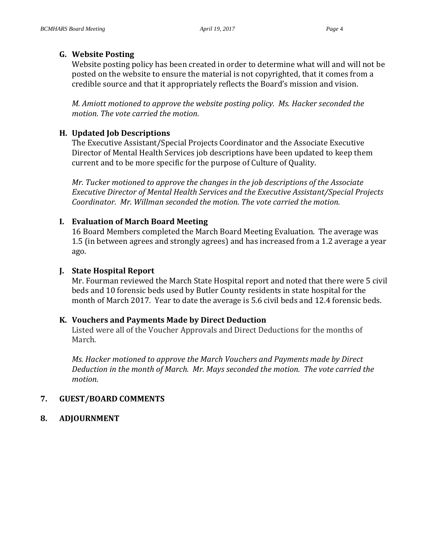#### **G. Website Posting**

Website posting policy has been created in order to determine what will and will not be posted on the website to ensure the material is not copyrighted, that it comes from a credible source and that it appropriately reflects the Board's mission and vision.

*M. Amiott motioned to approve the website posting policy. Ms. Hacker seconded the motion. The vote carried the motion.*

### **H. Updated Job Descriptions**

The Executive Assistant/Special Projects Coordinator and the Associate Executive Director of Mental Health Services job descriptions have been updated to keep them current and to be more specific for the purpose of Culture of Quality.

*Mr. Tucker motioned to approve the changes in the job descriptions of the Associate Executive Director of Mental Health Services and the Executive Assistant/Special Projects Coordinator. Mr. Willman seconded the motion. The vote carried the motion.*

### **I. Evaluation of March Board Meeting**

16 Board Members completed the March Board Meeting Evaluation. The average was 1.5 (in between agrees and strongly agrees) and has increased from a 1.2 average a year ago.

## **J. State Hospital Report**

Mr. Fourman reviewed the March State Hospital report and noted that there were 5 civil beds and 10 forensic beds used by Butler County residents in state hospital for the month of March 2017. Year to date the average is 5.6 civil beds and 12.4 forensic beds.

### **K. Vouchers and Payments Made by Direct Deduction**

Listed were all of the Voucher Approvals and Direct Deductions for the months of March.

*Ms. Hacker motioned to approve the March Vouchers and Payments made by Direct Deduction in the month of March. Mr. Mays seconded the motion. The vote carried the motion.*

# **7. GUEST/BOARD COMMENTS**

### **8. ADJOURNMENT**